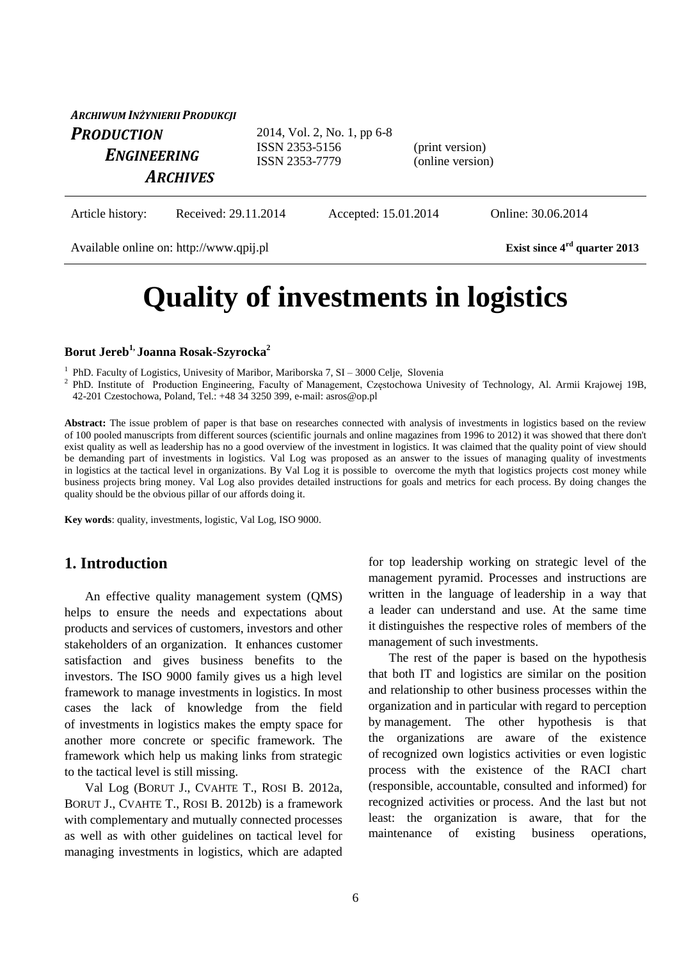| ARCHIWUM INŻYNIERII PRODUKCJI |                                  |                                     |  |
|-------------------------------|----------------------------------|-------------------------------------|--|
| <b>PRODUCTION</b>             | 2014, Vol. 2, No. 1, pp 6-8      |                                     |  |
| ENGINEERING                   | ISSN 2353-5156<br>ISSN 2353-7779 | (print version)<br>(online version) |  |
| <b>ARCHIVES</b>               |                                  |                                     |  |
|                               |                                  |                                     |  |

Article history: Received: 29.11.2014 Accepted: 15.01.2014 Online: 30.06.2014

Available online on: http://www.qpij.pl Exist since 4<sup>rd</sup> quarter 2013

# **Quality of investments in logistics**

#### **Borut Jereb1, Joanna Rosak-Szyrocka<sup>2</sup>**

<sup>1</sup> PhD. Faculty of Logistics, Univesity of Maribor, Mariborska 7, SI – 3000 Celje, Slovenia

<sup>2</sup> PhD. Institute of Production Engineering, Faculty of Management, Częstochowa Univesity of Technology, Al. Armii Krajowej 19B, 42-201 Czestochowa, Poland, Tel.: +48 34 3250 399, e-mail: asros@op.pl

**Abstract:** The issue problem of paper is that base on researches connected with analysis of investments in logistics based on the review of 100 pooled manuscripts from different sources (scientific journals and online magazines from 1996 to 2012) it was showed that there don't exist quality as well as leadership has no a good overview of the investment in logistics. It was claimed that the quality point of view should be demanding part of investments in logistics. Val Log was proposed as an answer to the issues of managing quality of investments in logistics at the tactical level in organizations. By Val Log it is possible to overcome the myth that logistics projects cost money while business projects bring money. Val Log also provides detailed instructions for goals and metrics for each process. By doing changes the quality should be the obvious pillar of our affords doing it.

**Key words**: quality, investments, logistic, Val Log, ISO 9000.

### **1. Introduction**

An effective quality management system (QMS) helps to ensure the needs and expectations about products and services of customers, investors and other stakeholders of an organization. It enhances customer satisfaction and gives business benefits to the investors. The ISO 9000 family gives us a high level framework to manage investments in logistics. In most cases the lack of knowledge from the field of investments in logistics makes the empty space for another more concrete or specific framework. The framework which help us making links from strategic to the tactical level is still missing.

Val Log (BORUT J., CVAHTE T., ROSI B. 2012a, BORUT J., CVAHTE T., ROSI B. 2012b) is a framework with complementary and mutually connected processes as well as with other guidelines on tactical level for managing investments in logistics, which are adapted for top leadership working on strategic level of the management pyramid. Processes and instructions are written in the language of leadership in a way that a leader can understand and use. At the same time it distinguishes the respective roles of members of the management of such investments.

The rest of the paper is based on the hypothesis that both IT and logistics are similar on the position and relationship to other business processes within the organization and in particular with regard to perception by management. The other hypothesis is that the organizations are aware of the existence of recognized own logistics activities or even logistic process with the existence of the RACI chart (responsible, accountable, consulted and informed) for recognized activities or process. And the last but not least: the organization is aware, that for the maintenance of existing business operations,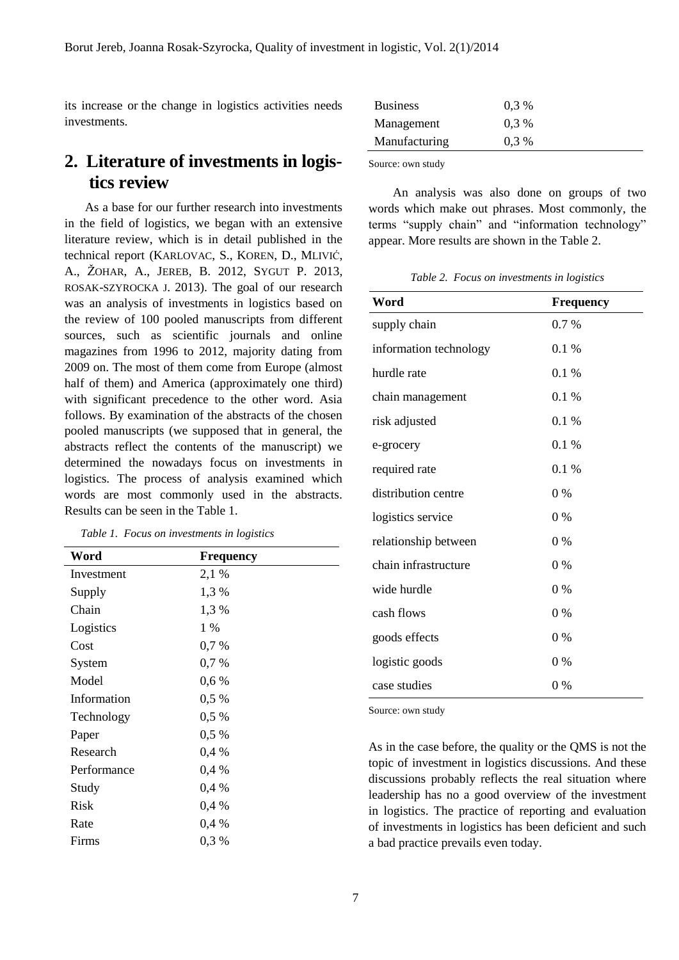its increase or the change in logistics activities needs investments.

# **2. Literature of investments in logistics review**

As a base for our further research into investments in the field of logistics, we began with an extensive literature review, which is in detail published in the technical report (KARLOVAC, S., KOREN, D., MLIVIĆ, A., ŽOHAR, A., JEREB, B. 2012, SYGUT P. 2013, ROSAK-SZYROCKA J. 2013). The goal of our research was an analysis of investments in logistics based on the review of 100 pooled manuscripts from different sources, such as scientific journals and online magazines from 1996 to 2012, majority dating from 2009 on. The most of them come from Europe (almost half of them) and America (approximately one third) with significant precedence to the other word. Asia follows. By examination of the abstracts of the chosen pooled manuscripts (we supposed that in general, the abstracts reflect the contents of the manuscript) we determined the nowadays focus on investments in logistics. The process of analysis examined which words are most commonly used in the abstracts. Results can be seen in the Table 1.

| Word        | <b>Frequency</b> |
|-------------|------------------|
| Investment  | 2,1 %            |
| Supply      | 1,3%             |
| Chain       | 1,3%             |
| Logistics   | 1 %              |
| Cost        | 0,7%             |
| System      | 0,7%             |
| Model       | 0,6%             |
| Information | 0,5%             |
| Technology  | 0,5%             |
| Paper       | 0,5%             |
| Research    | 0,4 %            |
| Performance | $0.4\%$          |
| Study       | 0,4 %            |
| Risk        | 0,4 %            |
| Rate        | $0.4\%$          |
| Firms       | $0.3\%$          |

*Table 1. Focus on investments in logistics*

| <b>Business</b> | $0.3\%$ |  |
|-----------------|---------|--|
| Management      | $0.3\%$ |  |
| Manufacturing   | $0.3\%$ |  |

Source: own study

An analysis was also done on groups of two words which make out phrases. Most commonly, the terms "supply chain" and "information technology" appear. More results are shown in the Table 2.

*Table 2. Focus on investments in logistics*

| Word                   | <b>Frequency</b> |  |
|------------------------|------------------|--|
| supply chain           | 0.7 %            |  |
| information technology | 0.1%             |  |
| hurdle rate            | 0.1%             |  |
| chain management       | 0.1%             |  |
| risk adjusted          | 0.1%             |  |
| e-grocery              | 0.1%             |  |
| required rate          | 0.1%             |  |
| distribution centre    | $0\%$            |  |
| logistics service      | $0\%$            |  |
| relationship between   | $0\%$            |  |
| chain infrastructure   | $0\%$            |  |
| wide hurdle            | 0%               |  |
| cash flows             | $0\%$            |  |
| goods effects          | $0\%$            |  |
| logistic goods         | $0\%$            |  |
| case studies           | $0\%$            |  |

Source: own study

As in the case before, the quality or the QMS is not the topic of investment in logistics discussions. And these discussions probably reflects the real situation where leadership has no a good overview of the investment in logistics. The practice of reporting and evaluation of investments in logistics has been deficient and such a bad practice prevails even today.